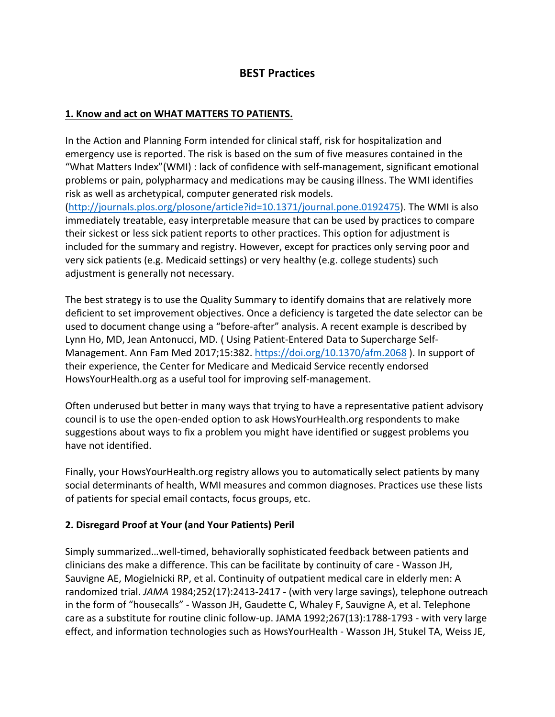# **BEST Practices**

### **1. Know and act on WHAT MATTERS TO PATIENTS.**

In the Action and Planning Form intended for clinical staff, risk for hospitalization and emergency use is reported. The risk is based on the sum of five measures contained in the "What Matters Index"(WMI) : lack of confidence with self-management, significant emotional problems or pain, polypharmacy and medications may be causing illness. The WMI identifies risk as well as archetypical, computer generated risk models.  $(\text{http://journals.plos.org/plosone/article?id=10.1371/journal.pone.0192475).$  The WMI is also immediately treatable, easy interpretable measure that can be used by practices to compare their sickest or less sick patient reports to other practices. This option for adjustment is included for the summary and registry. However, except for practices only serving poor and very sick patients (e.g. Medicaid settings) or very healthy (e.g. college students) such adjustment is generally not necessary.

The best strategy is to use the Quality Summary to identify domains that are relatively more deficient to set improvement objectives. Once a deficiency is targeted the date selector can be used to document change using a "before-after" analysis. A recent example is described by Lynn Ho, MD, Jean Antonucci, MD. (Using Patient-Entered Data to Supercharge Self-Management. Ann Fam Med 2017;15:382. https://doi.org/10.1370/afm.2068). In support of their experience, the Center for Medicare and Medicaid Service recently endorsed HowsYourHealth.org as a useful tool for improving self-management.

Often underused but better in many ways that trying to have a representative patient advisory council is to use the open-ended option to ask HowsYourHealth.org respondents to make suggestions about ways to fix a problem you might have identified or suggest problems you have not identified.

Finally, your HowsYourHealth.org registry allows you to automatically select patients by many social determinants of health, WMI measures and common diagnoses. Practices use these lists of patients for special email contacts, focus groups, etc.

# **2. Disregard Proof at Your (and Your Patients) Peril**

Simply summarized...well-timed, behaviorally sophisticated feedback between patients and clinicians des make a difference. This can be facilitate by continuity of care - Wasson JH, Sauvigne AE, Mogielnicki RP, et al. Continuity of outpatient medical care in elderly men: A randomized trial. *JAMA* 1984;252(17):2413-2417 - (with very large savings), telephone outreach in the form of "housecalls" - Wasson JH, Gaudette C, Whaley F, Sauvigne A, et al. Telephone care as a substitute for routine clinic follow-up. JAMA 1992;267(13):1788-1793 - with very large effect, and information technologies such as HowsYourHealth - Wasson JH, Stukel TA, Weiss JE,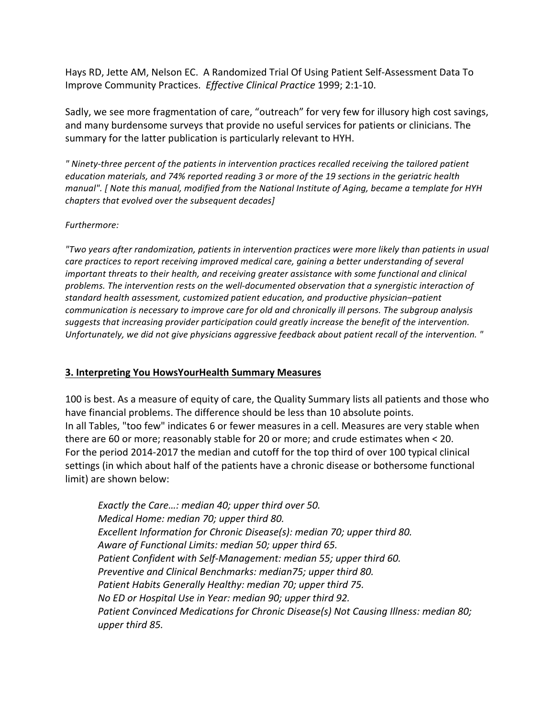Hays RD, Jette AM, Nelson EC. A Randomized Trial Of Using Patient Self-Assessment Data To Improve Community Practices. *Effective Clinical Practice* 1999; 2:1-10.

Sadly, we see more fragmentation of care, "outreach" for very few for illusory high cost savings, and many burdensome surveys that provide no useful services for patients or clinicians. The summary for the latter publication is particularly relevant to HYH.

*" Ninety-three percent of the patients in intervention practices recalled receiving the tailored patient*  education materials, and 74% reported reading 3 or more of the 19 sections in the geriatric health *manual".* [ Note this manual, modified from the National Institute of Aging, became a template for HYH *chapters that evolved over the subsequent decades]* 

#### *Furthermore:*

*"Two years after randomization, patients in intervention practices were more likely than patients in usual care practices to report receiving improved medical care, gaining a better understanding of several important threats to their health, and receiving greater assistance with some functional and clinical* problems. The intervention rests on the well-documented observation that a synergistic interaction of standard health assessment, customized patient education, and productive physician–patient *communication is necessary to improve care for old and chronically ill persons. The subgroup analysis* suggests that increasing provider participation could greatly increase the benefit of the intervention. *Unfortunately, we did not give physicians aggressive feedback about patient recall of the intervention.* "

#### **3. Interpreting You HowsYourHealth Summary Measures**

100 is best. As a measure of equity of care, the Quality Summary lists all patients and those who have financial problems. The difference should be less than 10 absolute points. In all Tables, "too few" indicates 6 or fewer measures in a cell. Measures are very stable when there are 60 or more; reasonably stable for 20 or more; and crude estimates when  $<$  20. For the period 2014-2017 the median and cutoff for the top third of over 100 typical clinical settings (in which about half of the patients have a chronic disease or bothersome functional limit) are shown below:

*Exactly the Care...: median 40; upper third over 50. Medical Home: median 70; upper third 80. Excellent Information for Chronic Disease(s): median 70; upper third 80.* Aware of Functional Limits: median 50; upper third 65. Patient Confident with Self-Management: median 55; upper third 60. *Preventive and Clinical Benchmarks: median75; upper third 80. Patient Habits Generally Healthy: median 70; upper third 75. No ED* or Hospital Use in Year: median 90; upper third 92. Patient Convinced Medications for Chronic Disease(s) Not Causing Illness: median 80; *upper third 85.*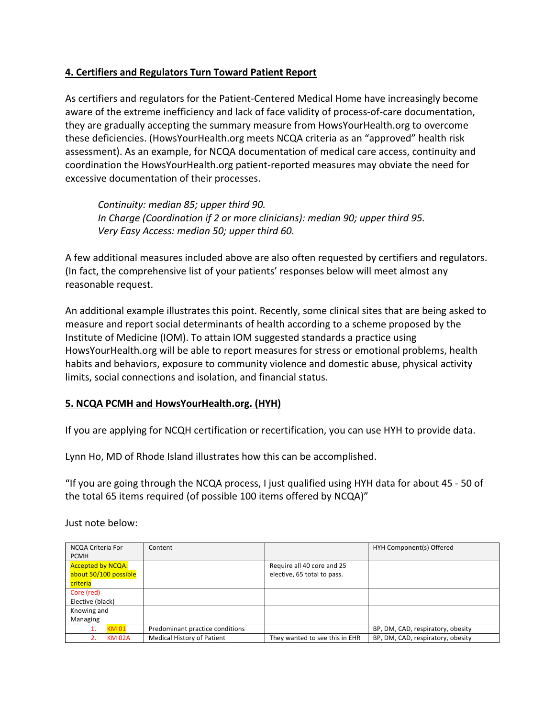# **4. Certifiers and Regulators Turn Toward Patient Report**

As certifiers and regulators for the Patient-Centered Medical Home have increasingly become aware of the extreme inefficiency and lack of face validity of process-of-care documentation, they are gradually accepting the summary measure from HowsYourHealth.org to overcome these deficiencies. (HowsYourHealth.org meets NCQA criteria as an "approved" health risk assessment). As an example, for NCQA documentation of medical care access, continuity and coordination the HowsYourHealth.org patient-reported measures may obviate the need for excessive documentation of their processes.

*Continuity: median 85; upper third 90.* In Charge (Coordination if 2 or more clinicians): median 90; upper third 95. *Very Easy Access: median 50; upper third 60.* 

A few additional measures included above are also often requested by certifiers and regulators. (In fact, the comprehensive list of your patients' responses below will meet almost any reasonable request.

An additional example illustrates this point. Recently, some clinical sites that are being asked to measure and report social determinants of health according to a scheme proposed by the Institute of Medicine (IOM). To attain IOM suggested standards a practice using HowsYourHealth.org will be able to report measures for stress or emotional problems, health habits and behaviors, exposure to community violence and domestic abuse, physical activity limits, social connections and isolation, and financial status.

# **5. NCQA PCMH and HowsYourHealth.org. (HYH)**

If you are applying for NCQH certification or recertification, you can use HYH to provide data.

Lynn Ho, MD of Rhode Island illustrates how this can be accomplished.

"If you are going through the NCQA process, I just qualified using HYH data for about  $45 - 50$  of the total 65 items required (of possible 100 items offered by NCQA)"

| NCQA Criteria For        | Content                         |                                | HYH Component(s) Offered          |
|--------------------------|---------------------------------|--------------------------------|-----------------------------------|
| <b>PCMH</b>              |                                 |                                |                                   |
| <b>Accepted by NCQA:</b> |                                 | Require all 40 core and 25     |                                   |
| about 50/100 possible    |                                 | elective, 65 total to pass.    |                                   |
| criteria                 |                                 |                                |                                   |
| Core (red)               |                                 |                                |                                   |
| Elective (black)         |                                 |                                |                                   |
| Knowing and              |                                 |                                |                                   |
| Managing                 |                                 |                                |                                   |
| <b>KM 01</b>             | Predominant practice conditions |                                | BP, DM, CAD, respiratory, obesity |
| <b>KM 02A</b>            | Medical History of Patient      | They wanted to see this in EHR | BP, DM, CAD, respiratory, obesity |

Just note below: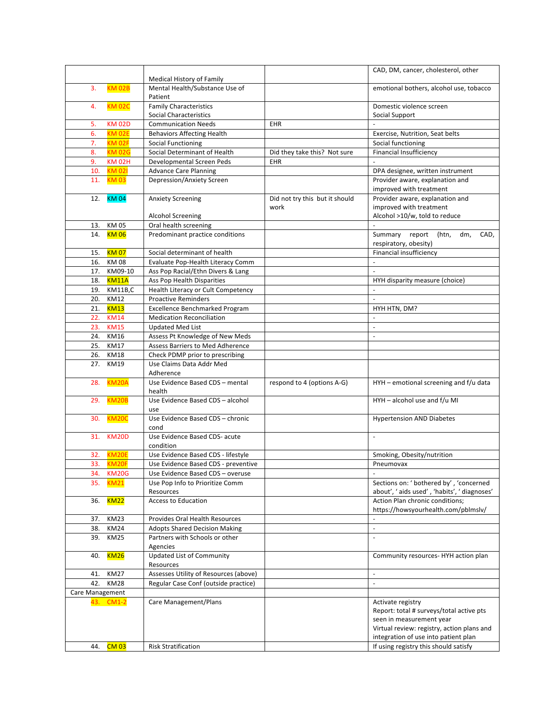|                 |               |                                       |                                | CAD, DM, cancer, cholesterol, other         |
|-----------------|---------------|---------------------------------------|--------------------------------|---------------------------------------------|
|                 |               | <b>Medical History of Family</b>      |                                |                                             |
| 3.              | <b>KM 02B</b> | Mental Health/Substance Use of        |                                | emotional bothers, alcohol use, tobacco     |
|                 |               | Patient                               |                                |                                             |
| 4.              | <b>KM 02C</b> | <b>Family Characteristics</b>         |                                | Domestic violence screen                    |
|                 |               | Social Characteristics                |                                | Social Support                              |
| 5.              | <b>KM 02D</b> | <b>Communication Needs</b>            | EHR                            |                                             |
| 6.              | <b>KM 02E</b> | <b>Behaviors Affecting Health</b>     |                                | Exercise, Nutrition, Seat belts             |
| 7.              | <b>KM 02F</b> | <b>Social Functioning</b>             |                                | Social functioning                          |
| 8.              | <b>KM 02G</b> | Social Determinant of Health          | Did they take this? Not sure   | <b>Financial Insufficiency</b>              |
| 9.              | <b>KM 02H</b> | Developmental Screen Peds             | <b>EHR</b>                     |                                             |
| 10.             | <b>KM 021</b> | <b>Advance Care Planning</b>          |                                | DPA designee, written instrument            |
| 11.             | <b>KM03</b>   | Depression/Anxiety Screen             |                                | Provider aware, explanation and             |
|                 |               |                                       |                                | improved with treatment                     |
| 12.             | <b>KM 04</b>  | <b>Anxiety Screening</b>              | Did not try this but it should | Provider aware, explanation and             |
|                 |               |                                       | work                           | improved with treatment                     |
|                 |               | <b>Alcohol Screening</b>              |                                | Alcohol >10/w, told to reduce               |
| 13.             | KM 05         | Oral health screening                 |                                | L.                                          |
| 14.             | <b>KM06</b>   | Predominant practice conditions       |                                | Summary report<br>dm,<br>CAD,<br>(htn,      |
|                 |               |                                       |                                | respiratory, obesity)                       |
| 15.             | <b>KM07</b>   | Social determinant of health          |                                | Financial insufficiency                     |
| 16.             | <b>KM08</b>   | Evaluate Pop-Health Literacy Comm     |                                | $\overline{\phantom{a}}$                    |
| 17.             | KM09-10       | Ass Pop Racial/Ethn Divers & Lang     |                                | $\overline{a}$                              |
| 18.             | <b>KM11A</b>  | Ass Pop Health Disparities            |                                | HYH disparity measure (choice)              |
| 19.             | KM11B,C       | Health Literacy or Cult Competency    |                                | ÷,                                          |
| 20.             | <b>KM12</b>   | <b>Proactive Reminders</b>            |                                | L.                                          |
|                 | 21. KM13      | <b>Excellence Benchmarked Program</b> |                                | HYH HTN, DM?                                |
| 22.             | <b>KM14</b>   | <b>Medication Reconciliation</b>      |                                | L.                                          |
| 23.             | <b>KM15</b>   | <b>Updated Med List</b>               |                                | ÷.                                          |
| 24.             | KM16          | Assess Pt Knowledge of New Meds       |                                | $\overline{\phantom{a}}$                    |
| 25.             | <b>KM17</b>   | Assess Barriers to Med Adherence      |                                |                                             |
| 26.             | <b>KM18</b>   | Check PDMP prior to prescribing       |                                |                                             |
|                 | 27. KM19      | Use Claims Data Addr Med              |                                |                                             |
|                 |               | Adherence                             |                                |                                             |
| 28.             | KM20A         | Use Evidence Based CDS - mental       | respond to 4 (options A-G)     | HYH - emotional screening and f/u data      |
|                 |               | health                                |                                |                                             |
| 29.             | <b>KM20B</b>  | Use Evidence Based CDS - alcohol      |                                | HYH - alcohol use and f/u MI                |
|                 |               | use                                   |                                |                                             |
| 30.             | <b>KM20C</b>  | Use Evidence Based CDS - chronic      |                                | <b>Hypertension AND Diabetes</b>            |
|                 |               | cond                                  |                                |                                             |
|                 | 31. KM20D     | Use Evidence Based CDS- acute         |                                | $\blacksquare$                              |
|                 |               | condition                             |                                |                                             |
| 32.             | <b>KM20E</b>  | Use Evidence Based CDS - lifestyle    |                                | Smoking, Obesity/nutrition                  |
|                 | 33. KM20F     | Use Evidence Based CDS - preventive   |                                | Pneumovax                                   |
| 34.             | <b>KM20G</b>  | Use Evidence Based CDS - overuse      |                                |                                             |
| 35.             | <b>KM21</b>   | Use Pop Info to Prioritize Comm       |                                | Sections on: ' bothered by', 'concerned     |
|                 |               | Resources                             |                                | about', 'aids used', 'habits', ' diagnoses' |
| 36.             | <u>KM22</u>   | <b>Access to Education</b>            |                                | Action Plan chronic conditions;             |
|                 |               |                                       |                                | https://howsyourhealth.com/pblmslv/         |
| 37.             | <b>KM23</b>   | Provides Oral Health Resources        |                                |                                             |
| 38.             | <b>KM24</b>   | <b>Adopts Shared Decision Making</b>  |                                | $\blacksquare$                              |
| 39.             | <b>KM25</b>   | Partners with Schools or other        |                                | $\blacksquare$                              |
|                 |               | Agencies                              |                                |                                             |
| 40.             | <u>KM26</u>   | <b>Updated List of Community</b>      |                                | Community resources- HYH action plan        |
|                 |               | Resources                             |                                |                                             |
| 41.             | <b>KM27</b>   | Assesses Utility of Resources (above) |                                | $\overline{\phantom{a}}$                    |
| 42.             | <b>KM28</b>   | Regular Case Conf (outside practice)  |                                | $\blacksquare$                              |
| Care Management |               |                                       |                                |                                             |
|                 | 43. CM1-2     | Care Management/Plans                 |                                | Activate registry                           |
|                 |               |                                       |                                | Report: total # surveys/total active pts    |
|                 |               |                                       |                                | seen in measurement year                    |
|                 |               |                                       |                                | Virtual review: registry, action plans and  |
|                 |               |                                       |                                | integration of use into patient plan        |
| 44.             | <b>CM 03</b>  | <b>Risk Stratification</b>            |                                | If using registry this should satisfy       |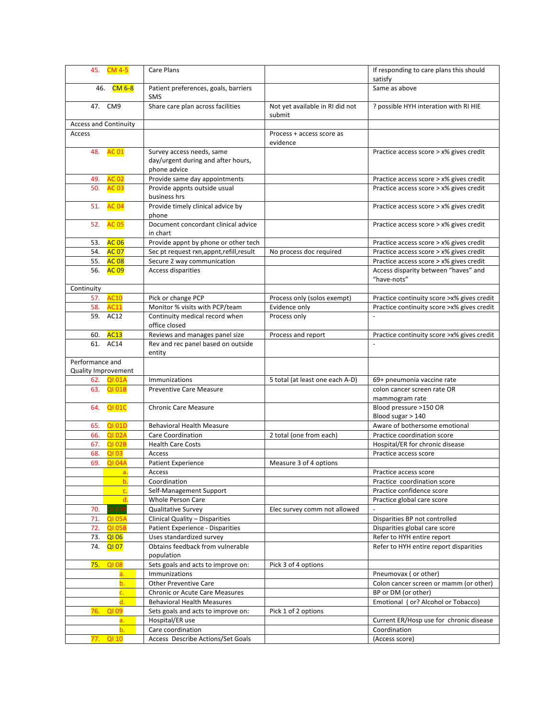|                              | 45. CM 4-5             | Care Plans                                                    |                                           | If responding to care plans this should<br>satisfy                                 |
|------------------------------|------------------------|---------------------------------------------------------------|-------------------------------------------|------------------------------------------------------------------------------------|
|                              | 46. CM 6-8             | Patient preferences, goals, barriers                          |                                           | Same as above                                                                      |
|                              |                        | <b>SMS</b>                                                    |                                           |                                                                                    |
|                              | 47. CM9                | Share care plan across facilities                             | Not yet available in RI did not<br>submit | ? possible HYH interation with RI HIE                                              |
| <b>Access and Continuity</b> |                        |                                                               |                                           |                                                                                    |
| Access                       |                        |                                                               | Process + access score as                 |                                                                                    |
|                              |                        |                                                               | evidence                                  |                                                                                    |
|                              | 48. AC 01              | Survey access needs, same                                     |                                           | Practice access score > x% gives credit                                            |
|                              |                        | day/urgent during and after hours,                            |                                           |                                                                                    |
|                              |                        | phone advice                                                  |                                           |                                                                                    |
| 49.<br>50.                   | <b>AC 02</b>           | Provide same day appointments<br>Provide appnts outside usual |                                           | Practice access score > x% gives credit<br>Practice access score > x% gives credit |
|                              | <b>AC 03</b>           | business hrs                                                  |                                           |                                                                                    |
| 51.                          | <b>AC04</b>            | Provide timely clinical advice by                             |                                           | Practice access score > x% gives credit                                            |
|                              |                        | phone                                                         |                                           |                                                                                    |
|                              | 52. AC 05              | Document concordant clinical advice                           |                                           | Practice access score > x% gives credit                                            |
|                              |                        | in chart                                                      |                                           |                                                                                    |
| 53.                          | <b>AC 06</b>           | Provide appnt by phone or other tech                          |                                           | Practice access score > x% gives credit                                            |
|                              | 54. AC 07              | Sec pt request rxn, appnt, refill, result                     | No process doc required                   | Practice access score > x% gives credit                                            |
|                              | 55. AC 08<br>56. AC 09 | Secure 2 way communication<br>Access disparities              |                                           | Practice access score > x% gives credit<br>Access disparity between "haves" and    |
|                              |                        |                                                               |                                           | "have-nots"                                                                        |
| Continuity                   |                        |                                                               |                                           |                                                                                    |
| 57.                          | <b>AC10</b>            | Pick or change PCP                                            | Process only (solos exempt)               | Practice continuity score > x% gives credit                                        |
|                              | 58. AC11               | Monitor % visits with PCP/team                                | Evidence only                             | Practice continuity score > x% gives credit                                        |
|                              | 59. AC12               | Continuity medical record when<br>office closed               | Process only                              |                                                                                    |
| 60.                          | <b>AC13</b>            | Reviews and manages panel size                                | Process and report                        | Practice continuity score > x% gives credit                                        |
|                              | 61. AC14               | Rev and rec panel based on outside                            |                                           |                                                                                    |
|                              |                        | entity                                                        |                                           |                                                                                    |
| Performance and              |                        |                                                               |                                           |                                                                                    |
| Quality Improvement          |                        |                                                               |                                           |                                                                                    |
|                              | 62. QI 01A             | Immunizations                                                 | 5 total (at least one each A-D)           | 69+ pneumonia vaccine rate                                                         |
|                              | 63. QI 01B             | <b>Preventive Care Measure</b>                                |                                           | colon cancer screen rate OR<br>mammogram rate                                      |
|                              | 64. QI 01C             | <b>Chronic Care Measure</b>                                   |                                           | Blood pressure >150 OR                                                             |
|                              |                        |                                                               |                                           | Blood sugar > 140                                                                  |
| 65.                          | <b>QI 01D</b>          | <b>Behavioral Health Measure</b>                              |                                           | Aware of bothersome emotional                                                      |
| 66.                          | <b>QI 02A</b>          | Care Coordination                                             | 2 total (one from each)                   | Practice coordination score                                                        |
| 67.                          | <b>QI 02B</b>          | <b>Health Care Costs</b>                                      |                                           | Hospital/ER for chronic disease                                                    |
| 68.                          | <b>QI03</b>            | Access                                                        |                                           | Practice access score                                                              |
| 69.                          | <b>QI 04A</b>          | <b>Patient Experience</b>                                     | Measure 3 of 4 options                    |                                                                                    |
|                              | a.<br>b.               | Access<br>Coordination                                        |                                           | Practice access score<br>Practice coordination score                               |
|                              | c.                     | Self-Management Support                                       |                                           | Practice confidence score                                                          |
|                              | d.                     | Whole Person Care                                             |                                           | Practice global care score                                                         |
| 70.                          | 21 04E                 | <b>Qualitative Survey</b>                                     | Elec survey comm not allowed              |                                                                                    |
| 71.                          | <b>QI 05A</b>          | Clinical Quality - Disparities                                |                                           | Disparities BP not controlled                                                      |
| 72.                          | <b>QI 05B</b>          | Patient Experience - Disparities                              |                                           | Disparities global care score                                                      |
| 73.                          | <b>QI 06</b>           | Uses standardized survey                                      |                                           | Refer to HYH entire report                                                         |
| 74.                          | <b>QI 07</b>           | Obtains feedback from vulnerable                              |                                           | Refer to HYH entire report disparities                                             |
|                              | 75. QI 08              | population<br>Sets goals and acts to improve on:              |                                           |                                                                                    |
|                              |                        | Immunizations                                                 | Pick 3 of 4 options                       | Pneumovax (or other)                                                               |
|                              | b.                     | <b>Other Preventive Care</b>                                  |                                           | Colon cancer screen or mamm (or other)                                             |
|                              |                        | Chronic or Acute Care Measures                                |                                           | BP or DM (or other)                                                                |
|                              | d.                     | <b>Behavioral Health Measures</b>                             |                                           | Emotional (or? Alcohol or Tobacco)                                                 |
| 76.                          | <b>QI 09</b>           | Sets goals and acts to improve on:                            | Pick 1 of 2 options                       |                                                                                    |
|                              | а.                     | Hospital/ER use                                               |                                           | Current ER/Hosp use for chronic disease                                            |
|                              |                        | Care coordination                                             |                                           | Coordination                                                                       |
|                              | 77. QI 10              | Access Describe Actions/Set Goals                             |                                           | (Access score)                                                                     |